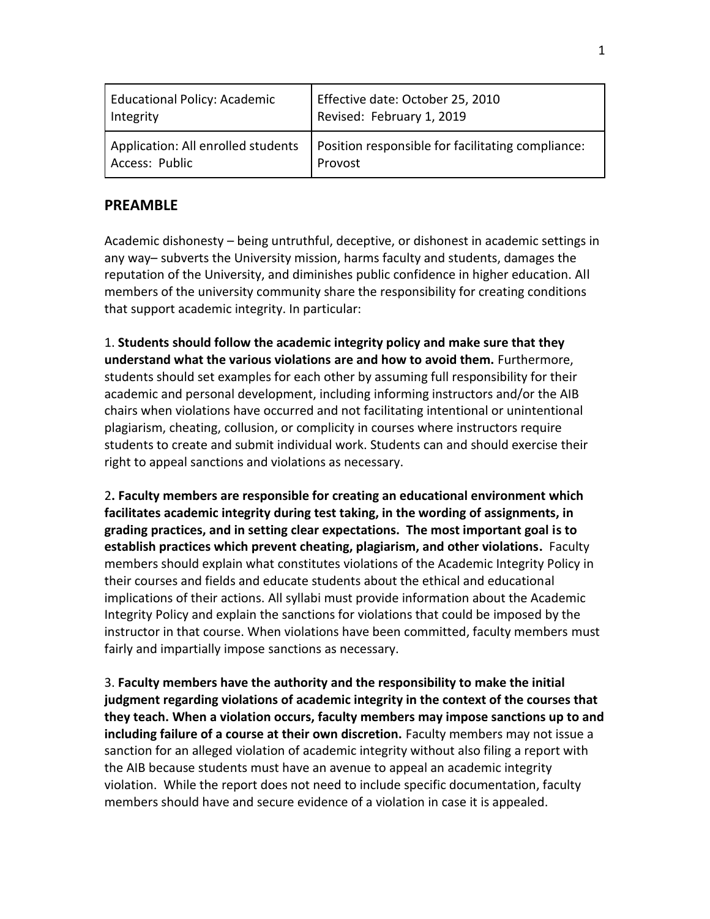| Educational Policy: Academic       | Effective date: October 25, 2010                  |
|------------------------------------|---------------------------------------------------|
| Integrity                          | Revised: February 1, 2019                         |
| Application: All enrolled students | Position responsible for facilitating compliance: |
| Access: Public                     | Provost                                           |

# **PREAMBLE**

Academic dishonesty – being untruthful, deceptive, or dishonest in academic settings in any way– subverts the University mission, harms faculty and students, damages the reputation of the University, and diminishes public confidence in higher education. All members of the university community share the responsibility for creating conditions that support academic integrity. In particular:

1. **Students should follow the academic integrity policy and make sure that they understand what the various violations are and how to avoid them.** Furthermore, students should set examples for each other by assuming full responsibility for their academic and personal development, including informing instructors and/or the AIB chairs when violations have occurred and not facilitating intentional or unintentional plagiarism, cheating, collusion, or complicity in courses where instructors require students to create and submit individual work. Students can and should exercise their right to appeal sanctions and violations as necessary.

2**. Faculty members are responsible for creating an educational environment which facilitates academic integrity during test taking, in the wording of assignments, in grading practices, and in setting clear expectations. The most important goal is to establish practices which prevent cheating, plagiarism, and other violations.** Faculty members should explain what constitutes violations of the Academic Integrity Policy in their courses and fields and educate students about the ethical and educational implications of their actions. All syllabi must provide information about the Academic Integrity Policy and explain the sanctions for violations that could be imposed by the instructor in that course. When violations have been committed, faculty members must fairly and impartially impose sanctions as necessary.

3. **Faculty members have the authority and the responsibility to make the initial judgment regarding violations of academic integrity in the context of the courses that they teach. When a violation occurs, faculty members may impose sanctions up to and including failure of a course at their own discretion.** Faculty members may not issue a sanction for an alleged violation of academic integrity without also filing a report with the AIB because students must have an avenue to appeal an academic integrity violation. While the report does not need to include specific documentation, faculty members should have and secure evidence of a violation in case it is appealed.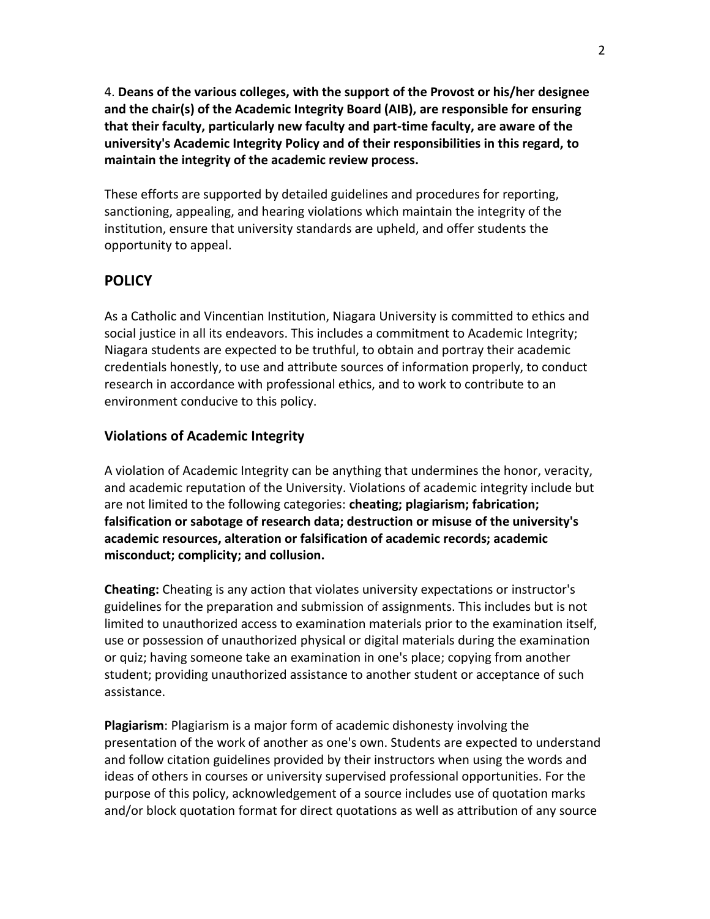4. **Deans of the various colleges, with the support of the Provost or his/her designee and the chair(s) of the Academic Integrity Board (AIB), are responsible for ensuring that their faculty, particularly new faculty and part-time faculty, are aware of the university's Academic Integrity Policy and of their responsibilities in this regard, to maintain the integrity of the academic review process.**

These efforts are supported by detailed guidelines and procedures for reporting, sanctioning, appealing, and hearing violations which maintain the integrity of the institution, ensure that university standards are upheld, and offer students the opportunity to appeal.

# **POLICY**

As a Catholic and Vincentian Institution, Niagara University is committed to ethics and social justice in all its endeavors. This includes a commitment to Academic Integrity; Niagara students are expected to be truthful, to obtain and portray their academic credentials honestly, to use and attribute sources of information properly, to conduct research in accordance with professional ethics, and to work to contribute to an environment conducive to this policy.

#### **Violations of Academic Integrity**

A violation of Academic Integrity can be anything that undermines the honor, veracity, and academic reputation of the University. Violations of academic integrity include but are not limited to the following categories: **cheating; plagiarism; fabrication; falsification or sabotage of research data; destruction or misuse of the university's academic resources, alteration or falsification of academic records; academic misconduct; complicity; and collusion.**

**Cheating:** Cheating is any action that violates university expectations or instructor's guidelines for the preparation and submission of assignments. This includes but is not limited to unauthorized access to examination materials prior to the examination itself, use or possession of unauthorized physical or digital materials during the examination or quiz; having someone take an examination in one's place; copying from another student; providing unauthorized assistance to another student or acceptance of such assistance.

**Plagiarism**: Plagiarism is a major form of academic dishonesty involving the presentation of the work of another as one's own. Students are expected to understand and follow citation guidelines provided by their instructors when using the words and ideas of others in courses or university supervised professional opportunities. For the purpose of this policy, acknowledgement of a source includes use of quotation marks and/or block quotation format for direct quotations as well as attribution of any source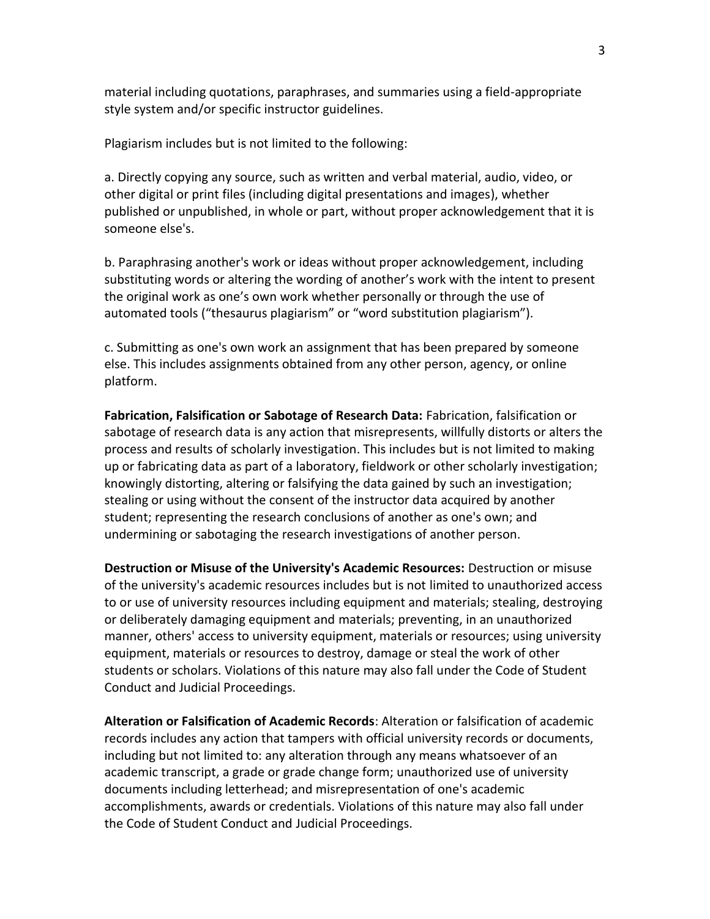material including quotations, paraphrases, and summaries using a field-appropriate style system and/or specific instructor guidelines.

Plagiarism includes but is not limited to the following:

a. Directly copying any source, such as written and verbal material, audio, video, or other digital or print files (including digital presentations and images), whether published or unpublished, in whole or part, without proper acknowledgement that it is someone else's.

b. Paraphrasing another's work or ideas without proper acknowledgement, including substituting words or altering the wording of another's work with the intent to present the original work as one's own work whether personally or through the use of automated tools ("thesaurus plagiarism" or "word substitution plagiarism").

c. Submitting as one's own work an assignment that has been prepared by someone else. This includes assignments obtained from any other person, agency, or online platform.

**Fabrication, Falsification or Sabotage of Research Data:** Fabrication, falsification or sabotage of research data is any action that misrepresents, willfully distorts or alters the process and results of scholarly investigation. This includes but is not limited to making up or fabricating data as part of a laboratory, fieldwork or other scholarly investigation; knowingly distorting, altering or falsifying the data gained by such an investigation; stealing or using without the consent of the instructor data acquired by another student; representing the research conclusions of another as one's own; and undermining or sabotaging the research investigations of another person.

**Destruction or Misuse of the University's Academic Resources:** Destruction or misuse of the university's academic resources includes but is not limited to unauthorized access to or use of university resources including equipment and materials; stealing, destroying or deliberately damaging equipment and materials; preventing, in an unauthorized manner, others' access to university equipment, materials or resources; using university equipment, materials or resources to destroy, damage or steal the work of other students or scholars. Violations of this nature may also fall under the Code of Student Conduct and Judicial Proceedings.

**Alteration or Falsification of Academic Records**: Alteration or falsification of academic records includes any action that tampers with official university records or documents, including but not limited to: any alteration through any means whatsoever of an academic transcript, a grade or grade change form; unauthorized use of university documents including letterhead; and misrepresentation of one's academic accomplishments, awards or credentials. Violations of this nature may also fall under the Code of Student Conduct and Judicial Proceedings.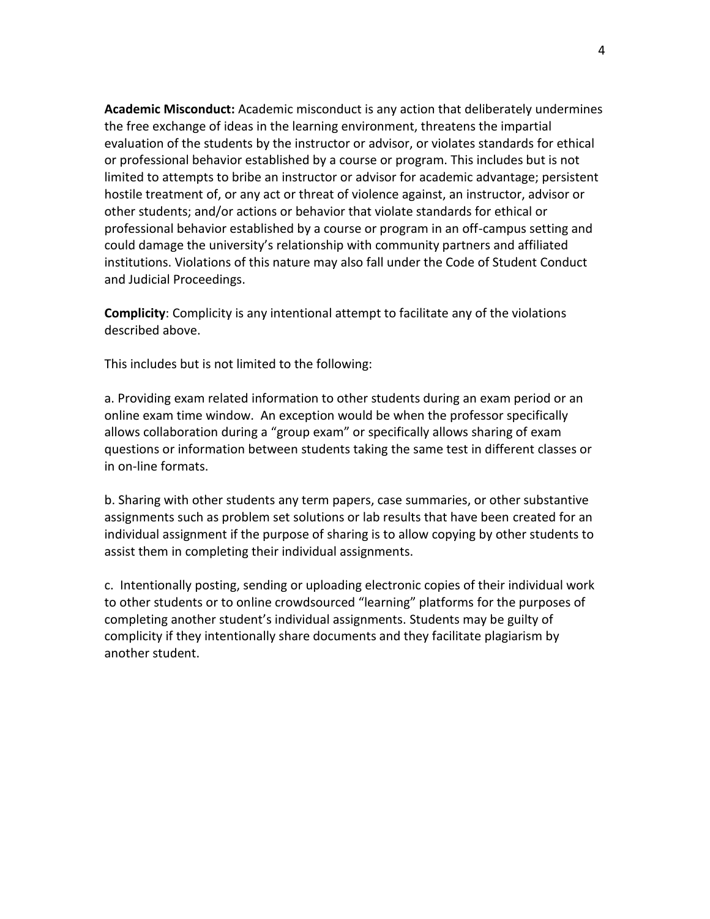**Academic Misconduct:** Academic misconduct is any action that deliberately undermines the free exchange of ideas in the learning environment, threatens the impartial evaluation of the students by the instructor or advisor, or violates standards for ethical or professional behavior established by a course or program. This includes but is not limited to attempts to bribe an instructor or advisor for academic advantage; persistent hostile treatment of, or any act or threat of violence against, an instructor, advisor or other students; and/or actions or behavior that violate standards for ethical or professional behavior established by a course or program in an off-campus setting and could damage the university's relationship with community partners and affiliated institutions. Violations of this nature may also fall under the Code of Student Conduct and Judicial Proceedings.

**Complicity**: Complicity is any intentional attempt to facilitate any of the violations described above.

This includes but is not limited to the following:

a. Providing exam related information to other students during an exam period or an online exam time window. An exception would be when the professor specifically allows collaboration during a "group exam" or specifically allows sharing of exam questions or information between students taking the same test in different classes or in on-line formats.

b. Sharing with other students any term papers, case summaries, or other substantive assignments such as problem set solutions or lab results that have been created for an individual assignment if the purpose of sharing is to allow copying by other students to assist them in completing their individual assignments.

c. Intentionally posting, sending or uploading electronic copies of their individual work to other students or to online crowdsourced "learning" platforms for the purposes of completing another student's individual assignments. Students may be guilty of complicity if they intentionally share documents and they facilitate plagiarism by another student.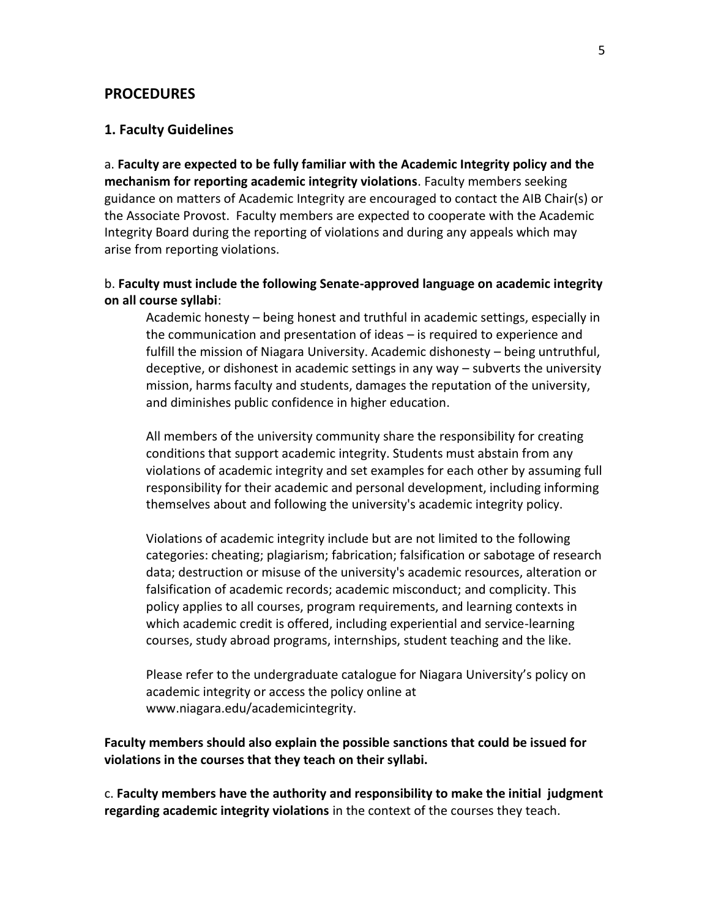#### **PROCEDURES**

#### **1. Faculty Guidelines**

a. **Faculty are expected to be fully familiar with the Academic Integrity policy and the mechanism for reporting academic integrity violations**. Faculty members seeking guidance on matters of Academic Integrity are encouraged to contact the AIB Chair(s) or the Associate Provost. Faculty members are expected to cooperate with the Academic Integrity Board during the reporting of violations and during any appeals which may arise from reporting violations.

#### b. **Faculty must include the following Senate-approved language on academic integrity on all course syllabi**:

Academic honesty – being honest and truthful in academic settings, especially in the communication and presentation of ideas – is required to experience and fulfill the mission of Niagara University. Academic dishonesty – being untruthful, deceptive, or dishonest in academic settings in any way – subverts the university mission, harms faculty and students, damages the reputation of the university, and diminishes public confidence in higher education.

All members of the university community share the responsibility for creating conditions that support academic integrity. Students must abstain from any violations of academic integrity and set examples for each other by assuming full responsibility for their academic and personal development, including informing themselves about and following the university's academic integrity policy.

Violations of academic integrity include but are not limited to the following categories: cheating; plagiarism; fabrication; falsification or sabotage of research data; destruction or misuse of the university's academic resources, alteration or falsification of academic records; academic misconduct; and complicity. This policy applies to all courses, program requirements, and learning contexts in which academic credit is offered, including experiential and service-learning courses, study abroad programs, internships, student teaching and the like.

Please refer to the undergraduate catalogue for Niagara University's policy on academic integrity or access the policy online at www.niagara.edu/academicintegrity.

**Faculty members should also explain the possible sanctions that could be issued for violations in the courses that they teach on their syllabi.**

c. **Faculty members have the authority and responsibility to make the initial judgment regarding academic integrity violations** in the context of the courses they teach.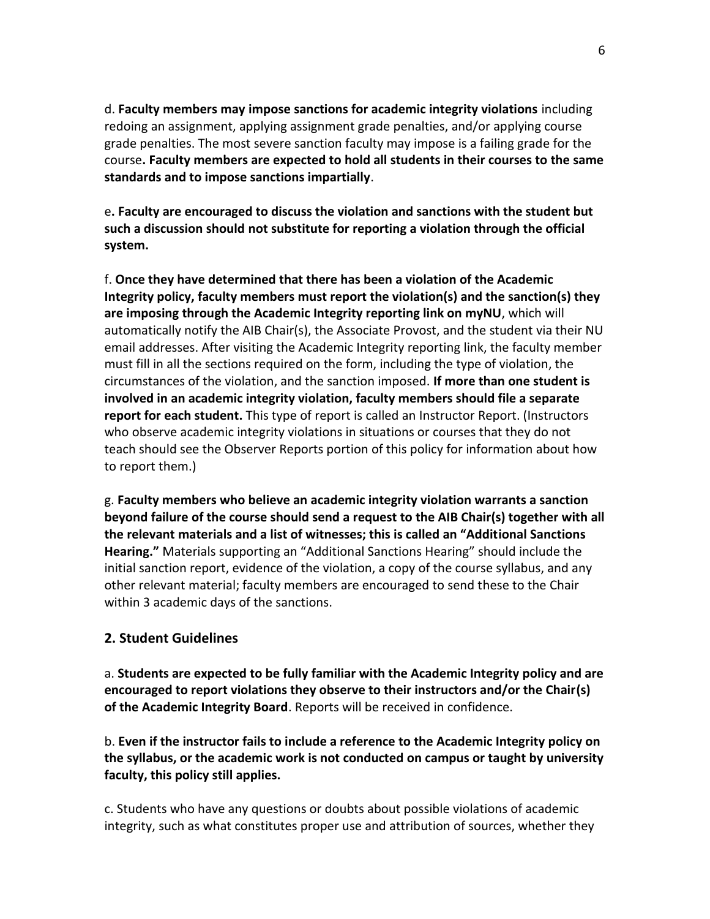d. **Faculty members may impose sanctions for academic integrity violations** including redoing an assignment, applying assignment grade penalties, and/or applying course grade penalties. The most severe sanction faculty may impose is a failing grade for the course**. Faculty members are expected to hold all students in their courses to the same standards and to impose sanctions impartially**.

e**. Faculty are encouraged to discuss the violation and sanctions with the student but such a discussion should not substitute for reporting a violation through the official system.**

f. **Once they have determined that there has been a violation of the Academic Integrity policy, faculty members must report the violation(s) and the sanction(s) they are imposing through the Academic Integrity reporting link on myNU**, which will automatically notify the AIB Chair(s), the Associate Provost, and the student via their NU email addresses. After visiting the Academic Integrity reporting link, the faculty member must fill in all the sections required on the form, including the type of violation, the circumstances of the violation, and the sanction imposed. **If more than one student is involved in an academic integrity violation, faculty members should file a separate report for each student.** This type of report is called an Instructor Report. (Instructors who observe academic integrity violations in situations or courses that they do not teach should see the Observer Reports portion of this policy for information about how to report them.)

g. **Faculty members who believe an academic integrity violation warrants a sanction beyond failure of the course should send a request to the AIB Chair(s) together with all the relevant materials and a list of witnesses; this is called an "Additional Sanctions Hearing."** Materials supporting an "Additional Sanctions Hearing" should include the initial sanction report, evidence of the violation, a copy of the course syllabus, and any other relevant material; faculty members are encouraged to send these to the Chair within 3 academic days of the sanctions.

# **2. Student Guidelines**

a. **Students are expected to be fully familiar with the Academic Integrity policy and are encouraged to report violations they observe to their instructors and/or the Chair(s) of the Academic Integrity Board**. Reports will be received in confidence.

b. **Even if the instructor fails to include a reference to the Academic Integrity policy on the syllabus, or the academic work is not conducted on campus or taught by university faculty, this policy still applies.**

c. Students who have any questions or doubts about possible violations of academic integrity, such as what constitutes proper use and attribution of sources, whether they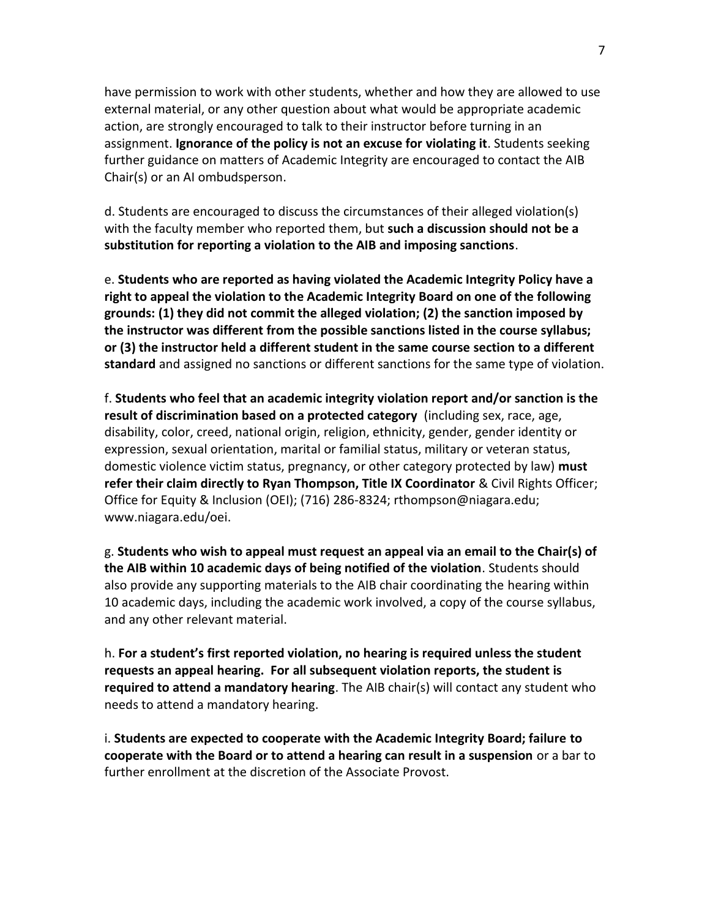have permission to work with other students, whether and how they are allowed to use external material, or any other question about what would be appropriate academic action, are strongly encouraged to talk to their instructor before turning in an assignment. **Ignorance of the policy is not an excuse for violating it**. Students seeking further guidance on matters of Academic Integrity are encouraged to contact the AIB Chair(s) or an AI ombudsperson.

d. Students are encouraged to discuss the circumstances of their alleged violation(s) with the faculty member who reported them, but **such a discussion should not be a substitution for reporting a violation to the AIB and imposing sanctions**.

e. **Students who are reported as having violated the Academic Integrity Policy have a right to appeal the violation to the Academic Integrity Board on one of the following grounds: (1) they did not commit the alleged violation; (2) the sanction imposed by the instructor was different from the possible sanctions listed in the course syllabus; or (3) the instructor held a different student in the same course section to a different standard** and assigned no sanctions or different sanctions for the same type of violation.

f. **Students who feel that an academic integrity violation report and/or sanction is the result of discrimination based on a protected category** (including sex, race, age, disability, color, creed, national origin, religion, ethnicity, gender, gender identity or expression, sexual orientation, marital or familial status, military or veteran status, domestic violence victim status, pregnancy, or other category protected by law) **must refer their claim directly to Ryan Thompson, Title IX Coordinator** & Civil Rights Officer; Office for Equity & Inclusion (OEI); (716) 286-8324; rthompson@niagara.edu; www.niagara.edu/oei.

g. **Students who wish to appeal must request an appeal via an email to the Chair(s) of the AIB within 10 academic days of being notified of the violation**. Students should also provide any supporting materials to the AIB chair coordinating the hearing within 10 academic days, including the academic work involved, a copy of the course syllabus, and any other relevant material.

h. **For a student's first reported violation, no hearing is required unless the student requests an appeal hearing. For all subsequent violation reports, the student is required to attend a mandatory hearing**. The AIB chair(s) will contact any student who needs to attend a mandatory hearing.

i. **Students are expected to cooperate with the Academic Integrity Board; failure to cooperate with the Board or to attend a hearing can result in a suspension** or a bar to further enrollment at the discretion of the Associate Provost.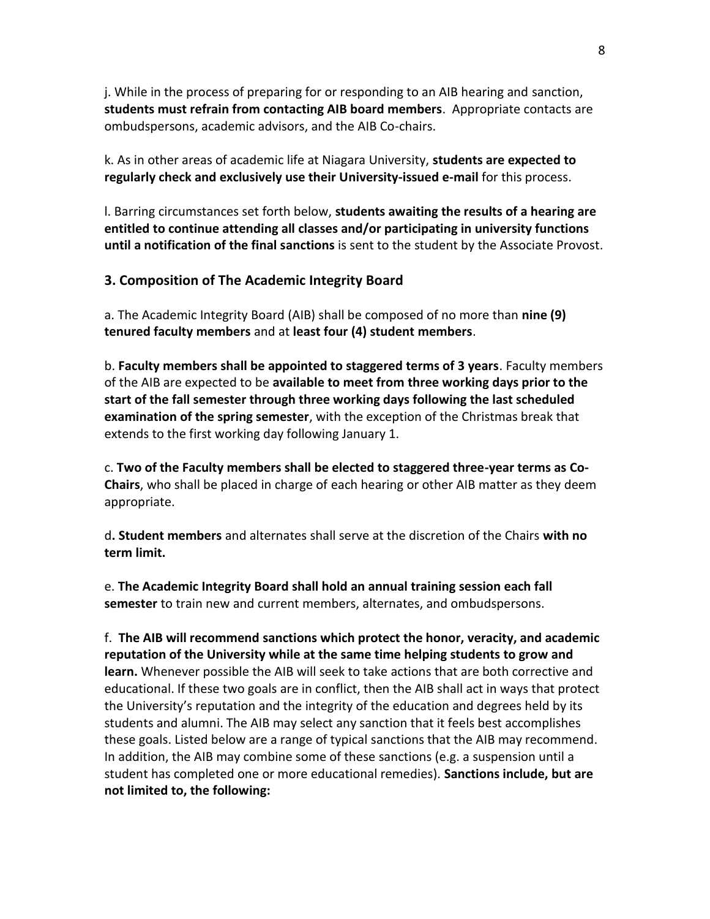j. While in the process of preparing for or responding to an AIB hearing and sanction, **students must refrain from contacting AIB board members**. Appropriate contacts are ombudspersons, academic advisors, and the AIB Co-chairs.

k. As in other areas of academic life at Niagara University, **students are expected to regularly check and exclusively use their University-issued e-mail** for this process.

l. Barring circumstances set forth below, **students awaiting the results of a hearing are entitled to continue attending all classes and/or participating in university functions until a notification of the final sanctions** is sent to the student by the Associate Provost.

### **3. Composition of The Academic Integrity Board**

a. The Academic Integrity Board (AIB) shall be composed of no more than **nine (9) tenured faculty members** and at **least four (4) student members**.

b. **Faculty members shall be appointed to staggered terms of 3 years**. Faculty members of the AIB are expected to be **available to meet from three working days prior to the start of the fall semester through three working days following the last scheduled examination of the spring semester**, with the exception of the Christmas break that extends to the first working day following January 1.

c. **Two of the Faculty members shall be elected to staggered three-year terms as Co-Chairs**, who shall be placed in charge of each hearing or other AIB matter as they deem appropriate.

d**. Student members** and alternates shall serve at the discretion of the Chairs **with no term limit.** 

e. **The Academic Integrity Board shall hold an annual training session each fall semester** to train new and current members, alternates, and ombudspersons.

f. **The AIB will recommend sanctions which protect the honor, veracity, and academic reputation of the University while at the same time helping students to grow and learn.** Whenever possible the AIB will seek to take actions that are both corrective and educational. If these two goals are in conflict, then the AIB shall act in ways that protect the University's reputation and the integrity of the education and degrees held by its students and alumni. The AIB may select any sanction that it feels best accomplishes these goals. Listed below are a range of typical sanctions that the AIB may recommend. In addition, the AIB may combine some of these sanctions (e.g. a suspension until a student has completed one or more educational remedies). **Sanctions include, but are not limited to, the following:**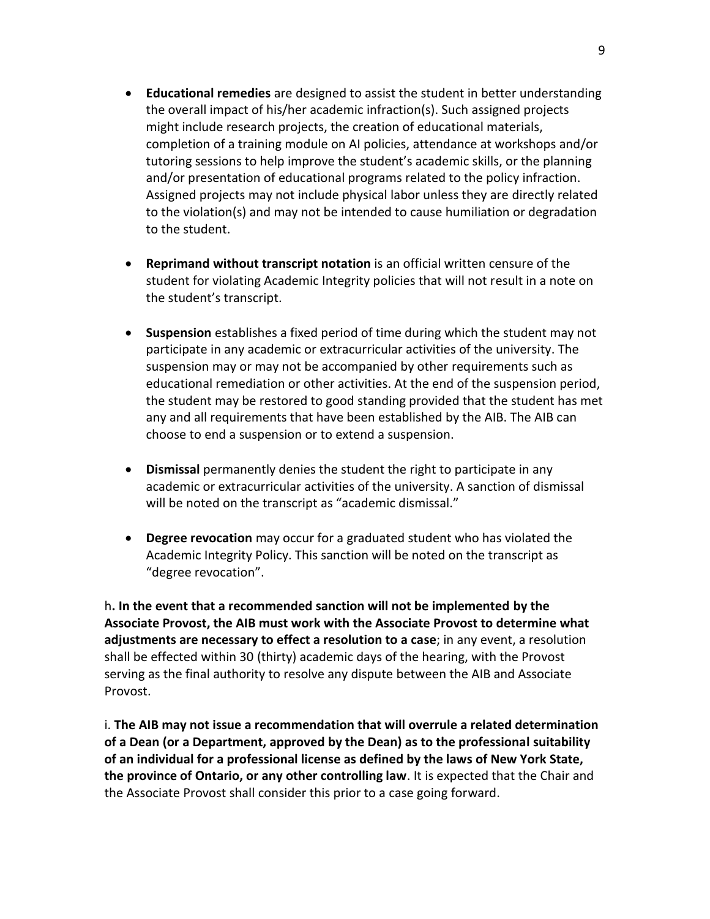- **Educational remedies** are designed to assist the student in better understanding the overall impact of his/her academic infraction(s). Such assigned projects might include research projects, the creation of educational materials, completion of a training module on AI policies, attendance at workshops and/or tutoring sessions to help improve the student's academic skills, or the planning and/or presentation of educational programs related to the policy infraction. Assigned projects may not include physical labor unless they are directly related to the violation(s) and may not be intended to cause humiliation or degradation to the student.
- **Reprimand without transcript notation** is an official written censure of the student for violating Academic Integrity policies that will not result in a note on the student's transcript.
- **Suspension** establishes a fixed period of time during which the student may not participate in any academic or extracurricular activities of the university. The suspension may or may not be accompanied by other requirements such as educational remediation or other activities. At the end of the suspension period, the student may be restored to good standing provided that the student has met any and all requirements that have been established by the AIB. The AIB can choose to end a suspension or to extend a suspension.
- **Dismissal** permanently denies the student the right to participate in any academic or extracurricular activities of the university. A sanction of dismissal will be noted on the transcript as "academic dismissal."
- **Degree revocation** may occur for a graduated student who has violated the Academic Integrity Policy. This sanction will be noted on the transcript as "degree revocation".

h**. In the event that a recommended sanction will not be implemented by the Associate Provost, the AIB must work with the Associate Provost to determine what adjustments are necessary to effect a resolution to a case**; in any event, a resolution shall be effected within 30 (thirty) academic days of the hearing, with the Provost serving as the final authority to resolve any dispute between the AIB and Associate Provost.

i. **The AIB may not issue a recommendation that will overrule a related determination of a Dean (or a Department, approved by the Dean) as to the professional suitability of an individual for a professional license as defined by the laws of New York State, the province of Ontario, or any other controlling law**. It is expected that the Chair and the Associate Provost shall consider this prior to a case going forward.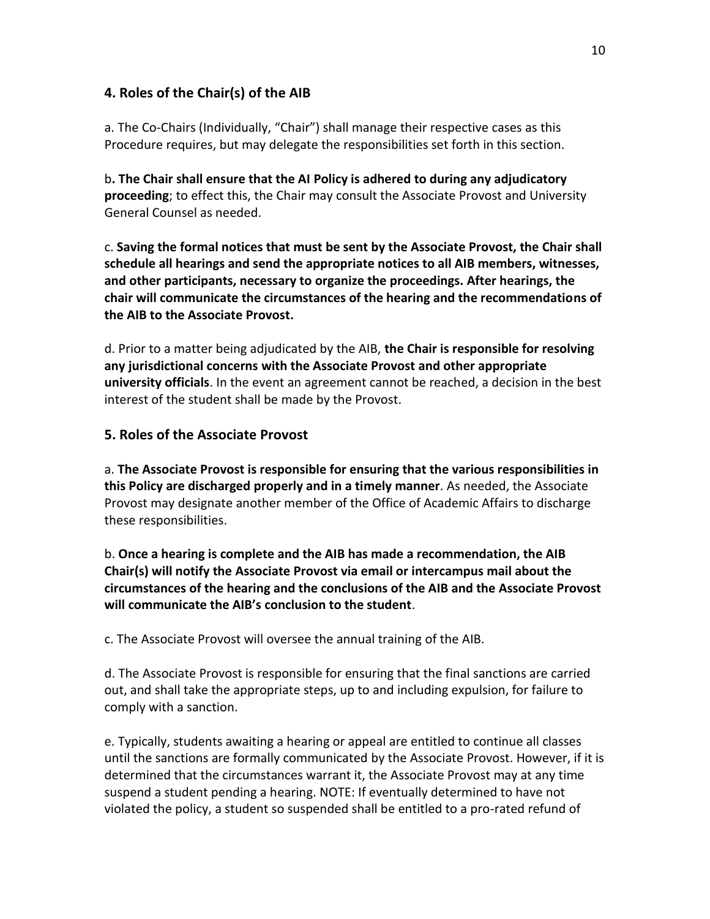# **4. Roles of the Chair(s) of the AIB**

a. The Co-Chairs (Individually, "Chair") shall manage their respective cases as this Procedure requires, but may delegate the responsibilities set forth in this section.

b**. The Chair shall ensure that the AI Policy is adhered to during any adjudicatory proceeding**; to effect this, the Chair may consult the Associate Provost and University General Counsel as needed.

c. **Saving the formal notices that must be sent by the Associate Provost, the Chair shall schedule all hearings and send the appropriate notices to all AIB members, witnesses, and other participants, necessary to organize the proceedings. After hearings, the chair will communicate the circumstances of the hearing and the recommendations of the AIB to the Associate Provost.** 

d. Prior to a matter being adjudicated by the AIB, **the Chair is responsible for resolving any jurisdictional concerns with the Associate Provost and other appropriate university officials**. In the event an agreement cannot be reached, a decision in the best interest of the student shall be made by the Provost.

# **5. Roles of the Associate Provost**

a. **The Associate Provost is responsible for ensuring that the various responsibilities in this Policy are discharged properly and in a timely manner**. As needed, the Associate Provost may designate another member of the Office of Academic Affairs to discharge these responsibilities.

b. **Once a hearing is complete and the AIB has made a recommendation, the AIB Chair(s) will notify the Associate Provost via email or intercampus mail about the circumstances of the hearing and the conclusions of the AIB and the Associate Provost will communicate the AIB's conclusion to the student**.

c. The Associate Provost will oversee the annual training of the AIB.

d. The Associate Provost is responsible for ensuring that the final sanctions are carried out, and shall take the appropriate steps, up to and including expulsion, for failure to comply with a sanction.

e. Typically, students awaiting a hearing or appeal are entitled to continue all classes until the sanctions are formally communicated by the Associate Provost. However, if it is determined that the circumstances warrant it, the Associate Provost may at any time suspend a student pending a hearing. NOTE: If eventually determined to have not violated the policy, a student so suspended shall be entitled to a pro-rated refund of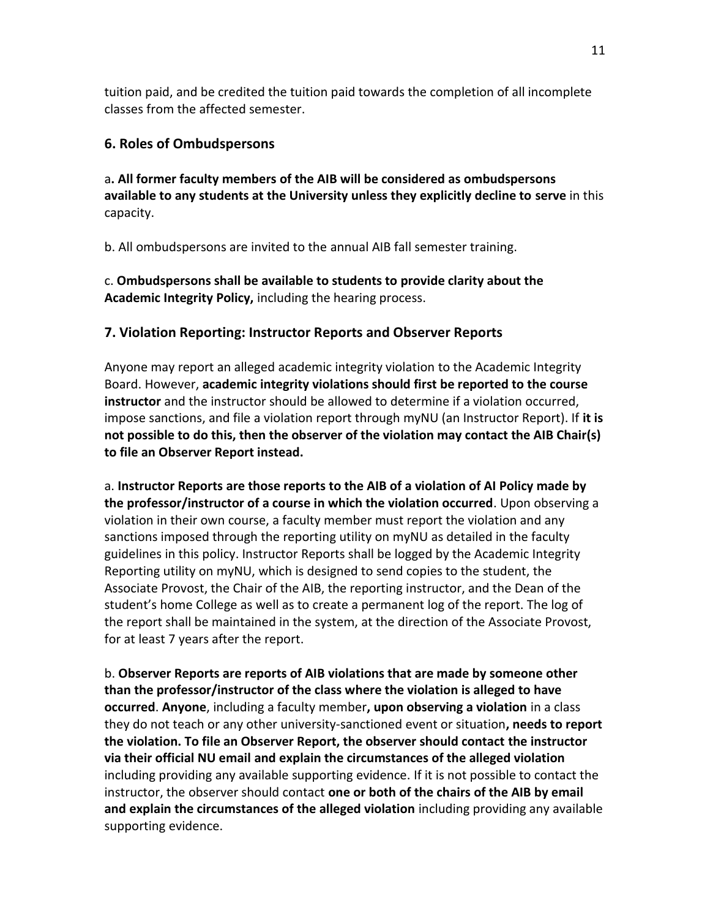tuition paid, and be credited the tuition paid towards the completion of all incomplete classes from the affected semester.

## **6. Roles of Ombudspersons**

a**. All former faculty members of the AIB will be considered as ombudspersons available to any students at the University unless they explicitly decline to serve** in this capacity.

b. All ombudspersons are invited to the annual AIB fall semester training.

c. **Ombudspersons shall be available to students to provide clarity about the Academic Integrity Policy,** including the hearing process.

# **7. Violation Reporting: Instructor Reports and Observer Reports**

Anyone may report an alleged academic integrity violation to the Academic Integrity Board. However, **academic integrity violations should first be reported to the course instructor** and the instructor should be allowed to determine if a violation occurred, impose sanctions, and file a violation report through myNU (an Instructor Report). If **it is not possible to do this, then the observer of the violation may contact the AIB Chair(s) to file an Observer Report instead.** 

a. **Instructor Reports are those reports to the AIB of a violation of AI Policy made by the professor/instructor of a course in which the violation occurred**. Upon observing a violation in their own course, a faculty member must report the violation and any sanctions imposed through the reporting utility on myNU as detailed in the faculty guidelines in this policy. Instructor Reports shall be logged by the Academic Integrity Reporting utility on myNU, which is designed to send copies to the student, the Associate Provost, the Chair of the AIB, the reporting instructor, and the Dean of the student's home College as well as to create a permanent log of the report. The log of the report shall be maintained in the system, at the direction of the Associate Provost, for at least 7 years after the report.

b. **Observer Reports are reports of AIB violations that are made by someone other than the professor/instructor of the class where the violation is alleged to have occurred**. **Anyone**, including a faculty member**, upon observing a violation** in a class they do not teach or any other university-sanctioned event or situation**, needs to report the violation. To file an Observer Report, the observer should contact the instructor via their official NU email and explain the circumstances of the alleged violation** including providing any available supporting evidence. If it is not possible to contact the instructor, the observer should contact **one or both of the chairs of the AIB by email and explain the circumstances of the alleged violation** including providing any available supporting evidence.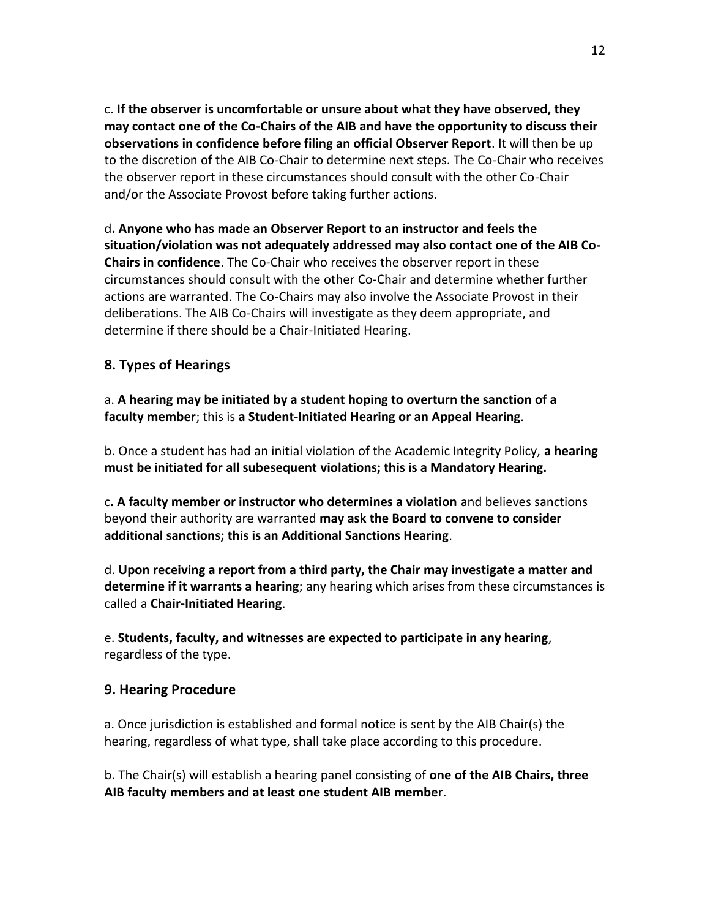c. **If the observer is uncomfortable or unsure about what they have observed, they may contact one of the Co-Chairs of the AIB and have the opportunity to discuss their observations in confidence before filing an official Observer Report**. It will then be up to the discretion of the AIB Co-Chair to determine next steps. The Co-Chair who receives the observer report in these circumstances should consult with the other Co-Chair and/or the Associate Provost before taking further actions.

d**. Anyone who has made an Observer Report to an instructor and feels the situation/violation was not adequately addressed may also contact one of the AIB Co-Chairs in confidence**. The Co-Chair who receives the observer report in these circumstances should consult with the other Co-Chair and determine whether further actions are warranted. The Co-Chairs may also involve the Associate Provost in their deliberations. The AIB Co-Chairs will investigate as they deem appropriate, and determine if there should be a Chair-Initiated Hearing.

# **8. Types of Hearings**

a. **A hearing may be initiated by a student hoping to overturn the sanction of a faculty member**; this is **a Student-Initiated Hearing or an Appeal Hearing**.

b. Once a student has had an initial violation of the Academic Integrity Policy, **a hearing must be initiated for all subesequent violations; this is a Mandatory Hearing.**

c**. A faculty member or instructor who determines a violation** and believes sanctions beyond their authority are warranted **may ask the Board to convene to consider additional sanctions; this is an Additional Sanctions Hearing**.

d. **Upon receiving a report from a third party, the Chair may investigate a matter and determine if it warrants a hearing**; any hearing which arises from these circumstances is called a **Chair-Initiated Hearing**.

e. **Students, faculty, and witnesses are expected to participate in any hearing**, regardless of the type.

# **9. Hearing Procedure**

a. Once jurisdiction is established and formal notice is sent by the AIB Chair(s) the hearing, regardless of what type, shall take place according to this procedure.

b. The Chair(s) will establish a hearing panel consisting of **one of the AIB Chairs, three AIB faculty members and at least one student AIB membe**r.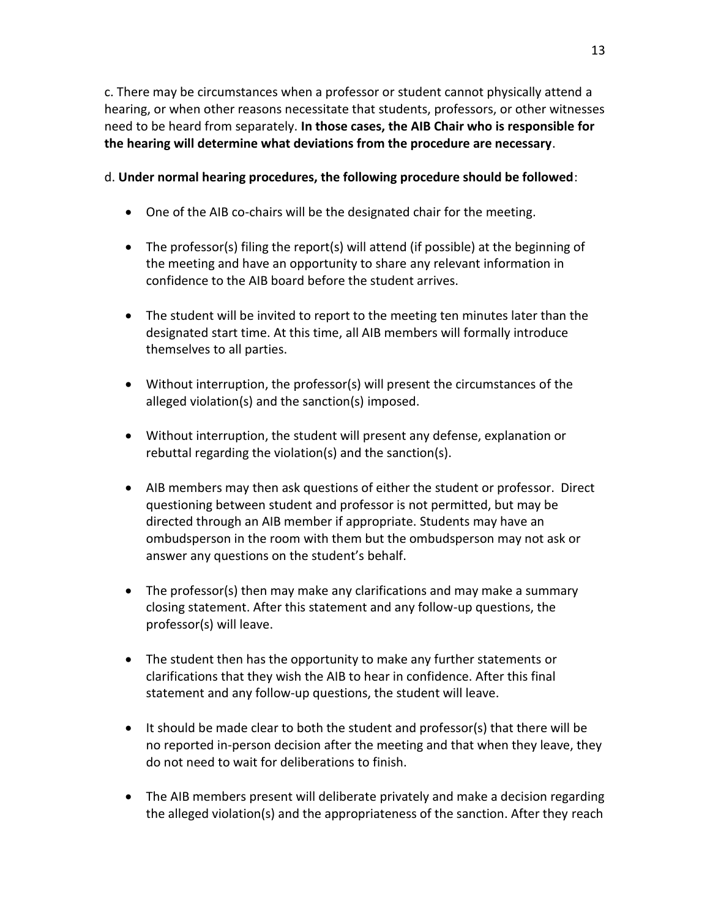c. There may be circumstances when a professor or student cannot physically attend a hearing, or when other reasons necessitate that students, professors, or other witnesses need to be heard from separately. **In those cases, the AIB Chair who is responsible for the hearing will determine what deviations from the procedure are necessary**.

# d. **Under normal hearing procedures, the following procedure should be followed**:

- One of the AIB co-chairs will be the designated chair for the meeting.
- The professor(s) filing the report(s) will attend (if possible) at the beginning of the meeting and have an opportunity to share any relevant information in confidence to the AIB board before the student arrives.
- The student will be invited to report to the meeting ten minutes later than the designated start time. At this time, all AIB members will formally introduce themselves to all parties.
- Without interruption, the professor(s) will present the circumstances of the alleged violation(s) and the sanction(s) imposed.
- Without interruption, the student will present any defense, explanation or rebuttal regarding the violation(s) and the sanction(s).
- AIB members may then ask questions of either the student or professor. Direct questioning between student and professor is not permitted, but may be directed through an AIB member if appropriate. Students may have an ombudsperson in the room with them but the ombudsperson may not ask or answer any questions on the student's behalf.
- The professor(s) then may make any clarifications and may make a summary closing statement. After this statement and any follow-up questions, the professor(s) will leave.
- The student then has the opportunity to make any further statements or clarifications that they wish the AIB to hear in confidence. After this final statement and any follow-up questions, the student will leave.
- $\bullet$  It should be made clear to both the student and professor(s) that there will be no reported in-person decision after the meeting and that when they leave, they do not need to wait for deliberations to finish.
- The AIB members present will deliberate privately and make a decision regarding the alleged violation(s) and the appropriateness of the sanction. After they reach